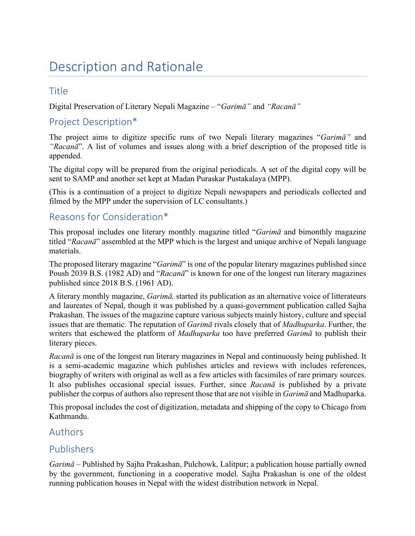# Description and Rationale

## Title

Digital Preservation of Literary Nepali Magazine – "*Garimā"* and *"Racanā"*

## Project Description\*

The project aims to digitize specific runs of two Nepali literary magazines "*Garimā"* and *"Racanā*". A list of volumes and issues along with a brief description of the proposed title is appended.

The digital copy will be prepared from the original periodicals. A set of the digital copy will be sent to SAMP and another set kept at Madan Puraskar Pustakalaya (MPP).

(This is a continuation of a project to digitize Nepali newspapers and periodicals collected and filmed by the MPP under the supervision of LC consultants.)

# Reasons for Consideration\*

This proposal includes one literary monthly magazine titled "*Garimā* and bimonthly magazine titled "*Racanā*" assembled at the MPP which is the largest and unique archive of Nepali language materials.

The proposed literary magazine "*Garimā*" is one of the popular literary magazines published since Poush 2039 B.S. (1982 AD) and "*Racanā*" is known for one of the longest run literary magazines published since 2018 B.S. (1961 AD).

A literary monthly magazine, *Garimā,* started its publication as an alternative voice of litterateurs and laureates of Nepal, though it was published by a quasi-government publication called Sajha Prakashan. The issues of the magazine capture various subjects mainly history, culture and special issues that are thematic. The reputation of *Garimā* rivals closely that of *Madhuparka*. Further, the writers that eschewed the platform of *Madhuparka* too have preferred *Garimā* to publish their literary pieces.

*Racanā* is one of the longest run literary magazines in Nepal and continuously being published. It is a semi-academic magazine which publishes articles and reviews with includes references, biography of writers with original as well as a few articles with facsimiles of rare primary sources. It also publishes occasional special issues. Further, since *Racanā* is published by a private publisher the corpus of authors also represent those that are not visible in *Garimā* and Madhuparka.

This proposal includes the cost of digitization, metadata and shipping of the copy to Chicago from Kathmandu.

#### Authors

#### Publishers

*Garimā* – Published by Sajha Prakashan, Pulchowk, Lalitpur; a publication house partially owned by the government, functioning in a cooperative model. Sajha Prakashan is one of the oldest running publication houses in Nepal with the widest distribution network in Nepal.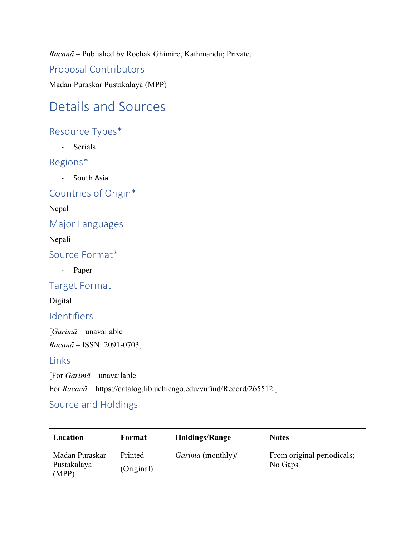*Racanā* – Published by Rochak Ghimire, Kathmandu; Private.

Proposal Contributors

Madan Puraskar Pustakalaya (MPP)

# Details and Sources

# Resource Types\*

- Serials

# Regions\*

- South Asia

Countries of Origin\*

Nepal

**Major Languages** 

Nepali

Source Format\*

- Paper

**Target Format** 

Digital

Identifiers

[*Garimā –* unavailable *Racanā –* ISSN: 2091-0703]

### Links

[For *Garimā* – unavailable For *Racanā* – https://catalog.lib.uchicago.edu/vufind/Record/265512 ]

# Source and Holdings

| Location                               | Format                | <b>Holdings/Range</b>    | <b>Notes</b>                          |
|----------------------------------------|-----------------------|--------------------------|---------------------------------------|
| Madan Puraskar<br>Pustakalaya<br>(MPP) | Printed<br>(Original) | <i>Garimā</i> (monthly)/ | From original periodicals;<br>No Gaps |